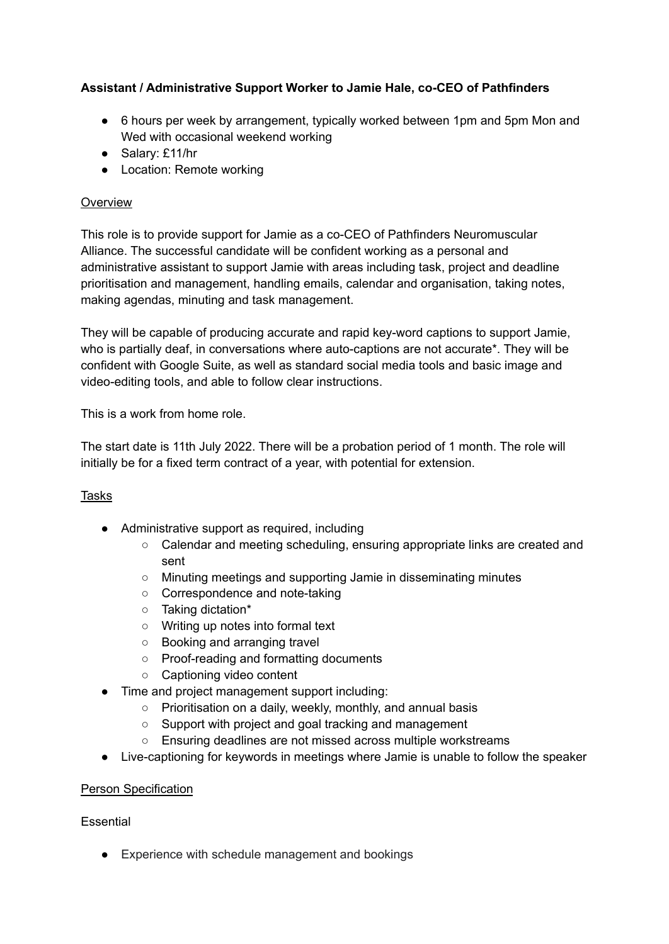# **Assistant / Administrative Support Worker to Jamie Hale, co-CEO of Pathfinders**

- 6 hours per week by arrangement, typically worked between 1pm and 5pm Mon and Wed with occasional weekend working
- Salary: £11/hr
- Location: Remote working

### **Overview**

This role is to provide support for Jamie as a co-CEO of Pathfinders Neuromuscular Alliance. The successful candidate will be confident working as a personal and administrative assistant to support Jamie with areas including task, project and deadline prioritisation and management, handling emails, calendar and organisation, taking notes, making agendas, minuting and task management.

They will be capable of producing accurate and rapid key-word captions to support Jamie, who is partially deaf, in conversations where auto-captions are not accurate\*. They will be confident with Google Suite, as well as standard social media tools and basic image and video-editing tools, and able to follow clear instructions.

This is a work from home role.

The start date is 11th July 2022. There will be a probation period of 1 month. The role will initially be for a fixed term contract of a year, with potential for extension.

## Tasks

- Administrative support as required, including
	- Calendar and meeting scheduling, ensuring appropriate links are created and sent
	- Minuting meetings and supporting Jamie in disseminating minutes
	- Correspondence and note-taking
	- Taking dictation\*
	- Writing up notes into formal text
	- Booking and arranging travel
	- Proof-reading and formatting documents
	- Captioning video content
- Time and project management support including:
	- Prioritisation on a daily, weekly, monthly, and annual basis
	- Support with project and goal tracking and management
	- Ensuring deadlines are not missed across multiple workstreams
- Live-captioning for keywords in meetings where Jamie is unable to follow the speaker

#### Person Specification

#### Essential

● Experience with schedule management and bookings